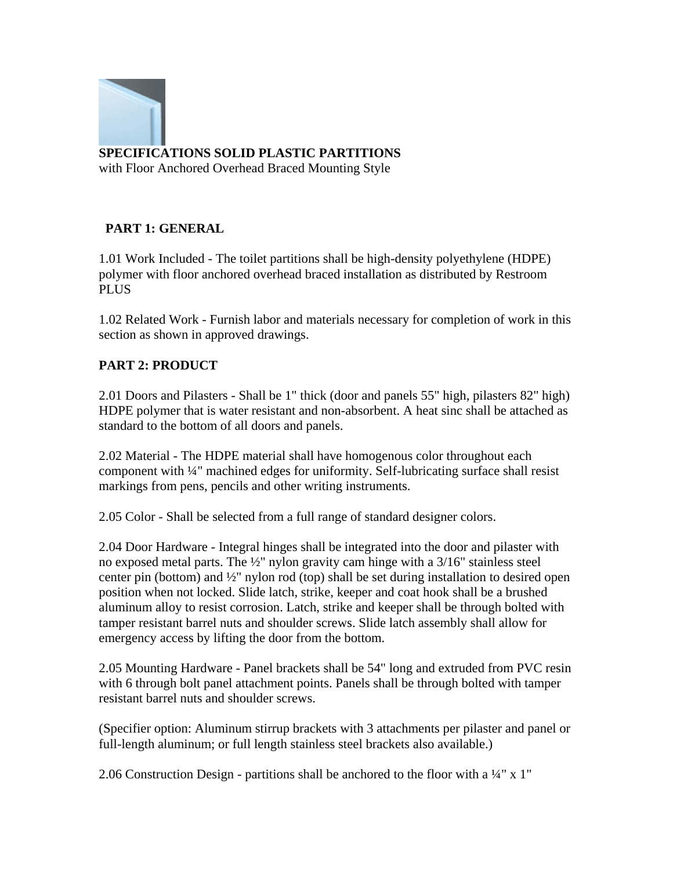

## **SPECIFICATIONS SOLID PLASTIC PARTITIONS**

with Floor Anchored Overhead Braced Mounting Style

## **PART 1: GENERAL**

1.01 Work Included - The toilet partitions shall be high-density polyethylene (HDPE) polymer with floor anchored overhead braced installation as distributed by Restroom PLUS

1.02 Related Work - Furnish labor and materials necessary for completion of work in this section as shown in approved drawings.

## **PART 2: PRODUCT**

2.01 Doors and Pilasters - Shall be 1" thick (door and panels 55" high, pilasters 82" high) HDPE polymer that is water resistant and non-absorbent. A heat sinc shall be attached as standard to the bottom of all doors and panels.

2.02 Material - The HDPE material shall have homogenous color throughout each component with ¼" machined edges for uniformity. Self-lubricating surface shall resist markings from pens, pencils and other writing instruments.

2.05 Color - Shall be selected from a full range of standard designer colors.

2.04 Door Hardware - Integral hinges shall be integrated into the door and pilaster with no exposed metal parts. The ½" nylon gravity cam hinge with a 3/16" stainless steel center pin (bottom) and ½" nylon rod (top) shall be set during installation to desired open position when not locked. Slide latch, strike, keeper and coat hook shall be a brushed aluminum alloy to resist corrosion. Latch, strike and keeper shall be through bolted with tamper resistant barrel nuts and shoulder screws. Slide latch assembly shall allow for emergency access by lifting the door from the bottom.

2.05 Mounting Hardware - Panel brackets shall be 54" long and extruded from PVC resin with 6 through bolt panel attachment points. Panels shall be through bolted with tamper resistant barrel nuts and shoulder screws.

(Specifier option: Aluminum stirrup brackets with 3 attachments per pilaster and panel or full-length aluminum; or full length stainless steel brackets also available.)

2.06 Construction Design - partitions shall be anchored to the floor with a  $\frac{1}{4}$ " x 1"